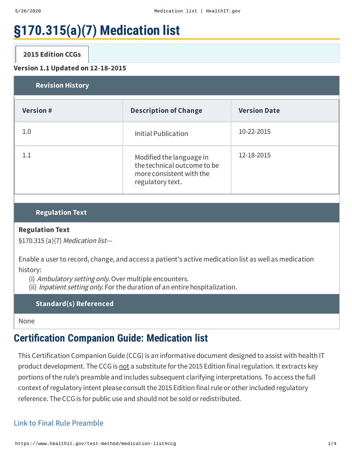# **§170.315(a)(7) Medication list**

# **2015 [Edition](#page-0-0) CCGs**

#### <span id="page-0-0"></span>**Version 1.1 Updated on 12-18-2015**

| <b>Revision History</b> |                                                                                                         |                     |  |  |
|-------------------------|---------------------------------------------------------------------------------------------------------|---------------------|--|--|
| <b>Version#</b>         | <b>Description of Change</b>                                                                            | <b>Version Date</b> |  |  |
| 1.0                     | Initial Publication                                                                                     | 10-22-2015          |  |  |
| 11                      | Modified the language in<br>the technical outcome to be<br>more consistent with the<br>regulatory text. | 12-18-2015          |  |  |

# **Regulation Text**

#### **Regulation Text**

§170.315 (a)(7) Medication list—

Enable a user to record, change, and access a patient's active medication list as well as medication history:

(i) Ambulatory setting only. Over multiple encounters.

(ii) Inpatient setting only. For the duration of an entire hospitalization.

**Standard(s) Referenced**

None

# **Certication Companion Guide: Medication list**

This Certification Companion Guide (CCG) is an informative document designed to assist with health IT product development. The CCG is not a substitute for the 2015 Edition final regulation. It extracts key portions of the rule's preamble and includes subsequent clarifying interpretations. To access the full context of regulatory intent please consult the 2015 Edition finalrule or other included regulatory reference. The CCG is for public use and should not be sold or redistributed.

### Link to Final Rule [Preamble](http://www.federalregister.gov/a/2015-25597/p-269)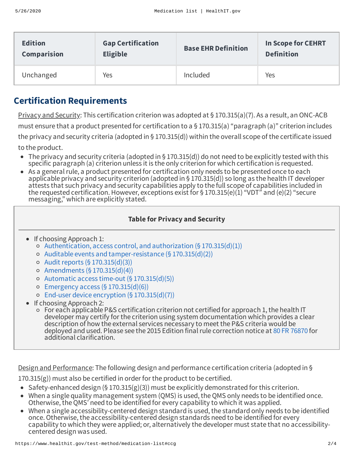| <b>Edition</b> | <b>Gap Certification</b> | <b>Base EHR Definition</b> | <b>In Scope for CEHRT</b> |
|----------------|--------------------------|----------------------------|---------------------------|
| Comparision    | <b>Eligible</b>          |                            | <b>Definition</b>         |
| Unchanged      | Yes                      | Included                   | Yes                       |

# **Certification Requirements**

Privacy and Security: This certification criterion was adopted at § 170.315(a)(7). As a result, an ONC-ACB must ensure that a product presented for certification to a  $\S 170.315(a)$  "paragraph (a)" criterion includes the privacy and security criteria (adopted in § 170.315(d)) within the overall scope of the certificate issued to the product.

- The privacy and security criteria (adopted in § 170.315(d)) do not need to be explicitly tested with this specific paragraph (a) criterion unless it is the only criterion for which certification is requested.
- As a general rule, a product presented for certification only needs to be presented once to each applicable privacy and security criterion (adopted in § 170.315(d)) so long as the health IT developer attests that such privacy and security capabilities apply to the full scope of capabilities included in the requested certification. However, exceptions exist for § 170.315(e)(1) "VDT" and (e)(2) "secure messaging," which are explicitly stated.

# **Table for Privacy and Security**

- If choosing Approach 1:
	- $\circ$  [Authentication,](https://www.healthit.gov/test-method/authentication-access-control-authorization) access control, and authorization (§ 170.315(d)(1))
	- Auditable events and [tamper-resistance](https://www.healthit.gov/test-method/auditable-events-and-tamper-resistance) (§ 170.315(d)(2))
	- $\circ$  Audit reports (§ [170.315\(d\)\(3\)\)](https://www.healthit.gov/test-method/audit-reports)
	- Amendments (§ [170.315\(d\)\(4\)\)](https://www.healthit.gov/test-method/amendments)
	- Automatic access time-out (§ [170.315\(d\)\(5\)\)](https://www.healthit.gov/test-method/automatic-access-time-out)
	- $\circ$  Emergency access (§ [170.315\(d\)\(6\)\)](https://www.healthit.gov/test-method/emergency-access)
	- End-user device encryption (§ [170.315\(d\)\(7\)\)](https://www.healthit.gov/test-method/end-user-device-encryption)
- If choosing Approach 2:
	- For each applicable P&S certification criterion not certified for approach 1,the health IT developer may certify for the criterion using system documentation which provides a clear description of how the external services necessary to meet the P&S criteria would be deployed and used. Please see the 2015 Edition final rule correction notice at 80 FR [76870](http://www.federalregister.gov/a/2015-31255/p-35) for additional clarification.

Design and Performance: The following design and performance certification criteria (adopted in §

 $170.315(g)$ ) must also be certified in order for the product to be certified.

- Safety-enhanced design (§ 170.315(g)(3)) must be explicitly demonstrated for this criterion.
- When a single quality management system (QMS) is used, the QMS only needs to be identified once. Otherwise, the QMS' need to be identified for every capability to which it was applied.
- When a single accessibility-centered design standard is used, the standard only needs to be identified once. Otherwise, the accessibility-centered design standards need to be identified for every capability to which they were applied; or, alternatively the developer must state that no accessibilitycentered design was used.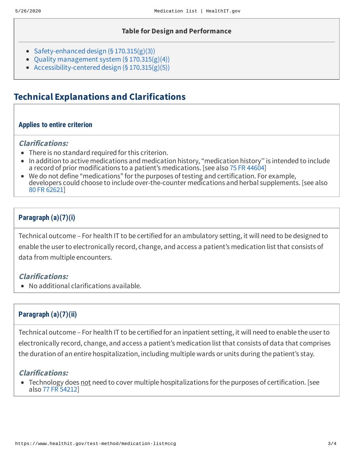#### **Table for Design and Performance**

- [Safety-enhanced](https://www.healthit.gov/test-method/safety-enhanced-design) design  $(§ 170.315(g)(3))$
- Quality [management](https://www.healthit.gov/test-method/quality-management-system) system (§ 170.315(g)(4))
- [Accessibility-centered](https://www.healthit.gov/test-method/accessibility-centered-design) design  $(§ 170.315(g)(5))$

# **Technical Explanations and Clarifications**

#### **Applies to entire criterion**

#### **Clarifications:**

- There is no standard required for this criterion.
- In addition to active medications and medication history, "medication history'' is intended to include a record of prior modifications to a patient's medications. [see also 75 FR [44604\]](http://www.federalregister.gov/a/2010-17210/p-216)
- We do not define "medications" for the purposes of testing and certification. For example, developers could choose to include over-the-counter medications and herbal supplements. [see also 80 FR [62621](http://www.federalregister.gov/a/2015-25597/p-272)]

# **Paragraph (a)(7)(i)**

Technical outcome – For health IT to be certified for an ambulatory setting, it will need to be designed to enable the user to electronically record, change, and access a patient's medication list that consists of data from multiple encounters.

#### **Clarifications:**

No additional clarifications available.

### **Paragraph (a)(7)(ii)**

Technical outcome – For health IT to be certified for an inpatient setting, it will need to enable the user to electronically record, change, and access a patient's medication list that consists of data that comprises the duration of an entire hospitalization, including multiple wards or units during the patient's stay.

### **Clarifications:**

• Technology does not need to cover multiple hospitalizations for the purposes of certification. [see also 77 FR [54212](http://www.federalregister.gov/a/2012-20982/p-649)]